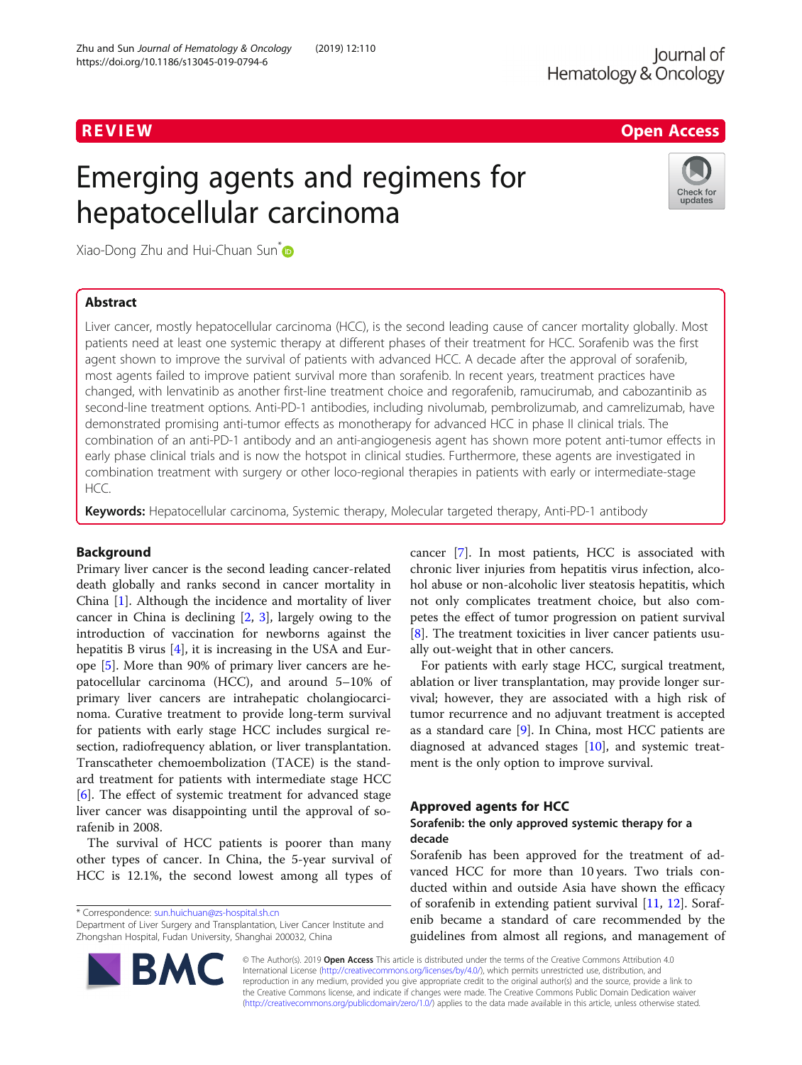# REVIEW **REVIEW REVIEW CONSISTENT CONSISTENT CONSISTENT CONSISTENT CONSISTENT CONSISTENT CONSISTENT CONSISTENT CONSISTENT CONSISTENT CONSISTENT CONSISTENT CONSISTENT CONSISTENT CONSISTENT CONSISTENT CONSISTENT CONSISTEN**

# Emerging agents and regimens for hepatocellular carcinoma



Xiao-Dong Zhu and Hui-Chuan Sun<sup>[\\*](http://orcid.org/0000-0003-3761-7058)</sup>

# Abstract

Liver cancer, mostly hepatocellular carcinoma (HCC), is the second leading cause of cancer mortality globally. Most patients need at least one systemic therapy at different phases of their treatment for HCC. Sorafenib was the first agent shown to improve the survival of patients with advanced HCC. A decade after the approval of sorafenib, most agents failed to improve patient survival more than sorafenib. In recent years, treatment practices have changed, with lenvatinib as another first-line treatment choice and regorafenib, ramucirumab, and cabozantinib as second-line treatment options. Anti-PD-1 antibodies, including nivolumab, pembrolizumab, and camrelizumab, have demonstrated promising anti-tumor effects as monotherapy for advanced HCC in phase II clinical trials. The combination of an anti-PD-1 antibody and an anti-angiogenesis agent has shown more potent anti-tumor effects in early phase clinical trials and is now the hotspot in clinical studies. Furthermore, these agents are investigated in combination treatment with surgery or other loco-regional therapies in patients with early or intermediate-stage HCC.

Keywords: Hepatocellular carcinoma, Systemic therapy, Molecular targeted therapy, Anti-PD-1 antibody

# Background

Primary liver cancer is the second leading cancer-related death globally and ranks second in cancer mortality in China [[1\]](#page-7-0). Although the incidence and mortality of liver cancer in China is declining [[2,](#page-7-0) [3](#page-7-0)], largely owing to the introduction of vaccination for newborns against the hepatitis B virus [\[4](#page-7-0)], it is increasing in the USA and Europe [\[5\]](#page-7-0). More than 90% of primary liver cancers are hepatocellular carcinoma (HCC), and around 5–10% of primary liver cancers are intrahepatic cholangiocarcinoma. Curative treatment to provide long-term survival for patients with early stage HCC includes surgical resection, radiofrequency ablation, or liver transplantation. Transcatheter chemoembolization (TACE) is the standard treatment for patients with intermediate stage HCC [[6\]](#page-7-0). The effect of systemic treatment for advanced stage liver cancer was disappointing until the approval of sorafenib in 2008.

The survival of HCC patients is poorer than many other types of cancer. In China, the 5-year survival of HCC is 12.1%, the second lowest among all types of

\* Correspondence: [sun.huichuan@zs-hospital.sh.cn](mailto:sun.huichuan@zs-hospital.sh.cn)

Department of Liver Surgery and Transplantation, Liver Cancer Institute and Zhongshan Hospital, Fudan University, Shanghai 200032, China



For patients with early stage HCC, surgical treatment, ablation or liver transplantation, may provide longer survival; however, they are associated with a high risk of tumor recurrence and no adjuvant treatment is accepted as a standard care [[9](#page-7-0)]. In China, most HCC patients are diagnosed at advanced stages [\[10](#page-7-0)], and systemic treatment is the only option to improve survival.

# Approved agents for HCC

# Sorafenib: the only approved systemic therapy for a decade

Sorafenib has been approved for the treatment of advanced HCC for more than 10 years. Two trials conducted within and outside Asia have shown the efficacy of sorafenib in extending patient survival [\[11](#page-7-0), [12](#page-7-0)]. Sorafenib became a standard of care recommended by the guidelines from almost all regions, and management of



© The Author(s). 2019 Open Access This article is distributed under the terms of the Creative Commons Attribution 4.0 International License [\(http://creativecommons.org/licenses/by/4.0/](http://creativecommons.org/licenses/by/4.0/)), which permits unrestricted use, distribution, and reproduction in any medium, provided you give appropriate credit to the original author(s) and the source, provide a link to the Creative Commons license, and indicate if changes were made. The Creative Commons Public Domain Dedication waiver [\(http://creativecommons.org/publicdomain/zero/1.0/](http://creativecommons.org/publicdomain/zero/1.0/)) applies to the data made available in this article, unless otherwise stated.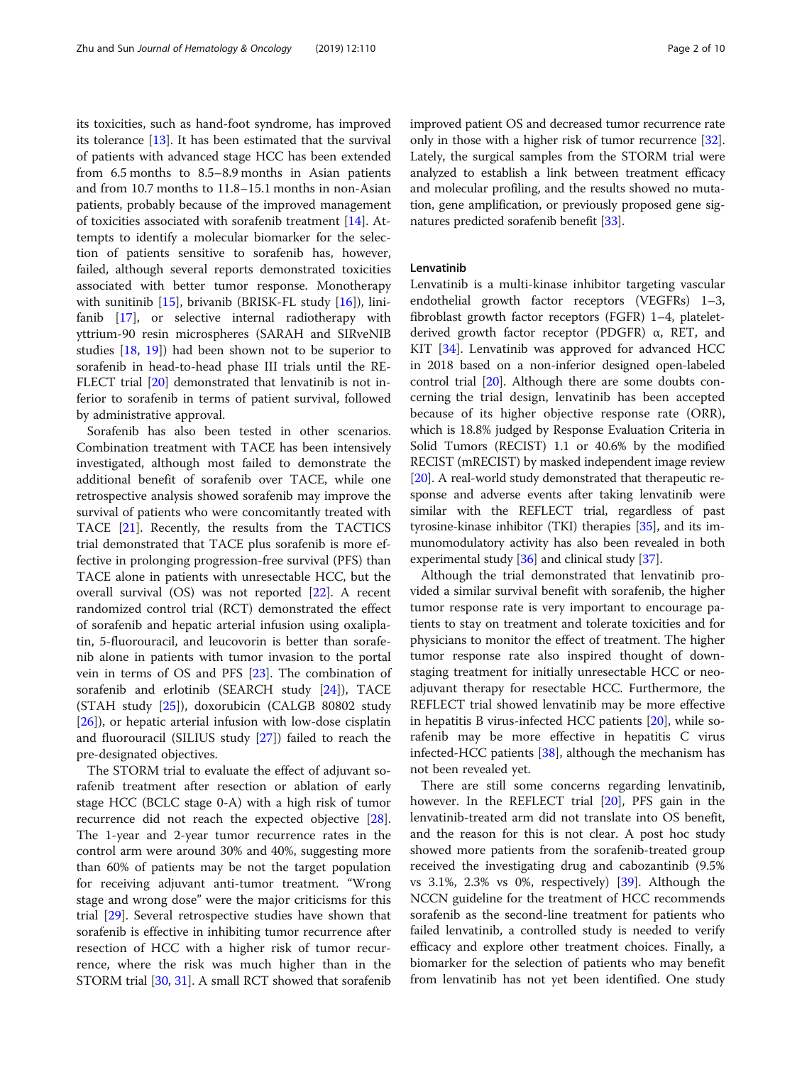its toxicities, such as hand-foot syndrome, has improved its tolerance [\[13](#page-7-0)]. It has been estimated that the survival of patients with advanced stage HCC has been extended from 6.5 months to 8.5–8.9 months in Asian patients and from 10.7 months to 11.8–15.1 months in non-Asian patients, probably because of the improved management of toxicities associated with sorafenib treatment [[14\]](#page-7-0). Attempts to identify a molecular biomarker for the selection of patients sensitive to sorafenib has, however, failed, although several reports demonstrated toxicities associated with better tumor response. Monotherapy with sunitinib [[15](#page-7-0)], brivanib (BRISK-FL study [\[16\]](#page-7-0)), linifanib [[17\]](#page-7-0), or selective internal radiotherapy with yttrium-90 resin microspheres (SARAH and SIRveNIB studies [\[18,](#page-7-0) [19\]](#page-7-0)) had been shown not to be superior to sorafenib in head-to-head phase III trials until the RE-FLECT trial [[20](#page-7-0)] demonstrated that lenvatinib is not inferior to sorafenib in terms of patient survival, followed by administrative approval.

Sorafenib has also been tested in other scenarios. Combination treatment with TACE has been intensively investigated, although most failed to demonstrate the additional benefit of sorafenib over TACE, while one retrospective analysis showed sorafenib may improve the survival of patients who were concomitantly treated with TACE [\[21\]](#page-7-0). Recently, the results from the TACTICS trial demonstrated that TACE plus sorafenib is more effective in prolonging progression-free survival (PFS) than TACE alone in patients with unresectable HCC, but the overall survival (OS) was not reported [\[22](#page-7-0)]. A recent randomized control trial (RCT) demonstrated the effect of sorafenib and hepatic arterial infusion using oxaliplatin, 5-fluorouracil, and leucovorin is better than sorafenib alone in patients with tumor invasion to the portal vein in terms of OS and PFS [[23](#page-7-0)]. The combination of sorafenib and erlotinib (SEARCH study [\[24](#page-7-0)]), TACE (STAH study [\[25\]](#page-7-0)), doxorubicin (CALGB 80802 study [[26\]](#page-7-0)), or hepatic arterial infusion with low-dose cisplatin and fluorouracil (SILIUS study [[27\]](#page-7-0)) failed to reach the pre-designated objectives.

The STORM trial to evaluate the effect of adjuvant sorafenib treatment after resection or ablation of early stage HCC (BCLC stage 0-A) with a high risk of tumor recurrence did not reach the expected objective [\[28](#page-7-0)]. The 1-year and 2-year tumor recurrence rates in the control arm were around 30% and 40%, suggesting more than 60% of patients may be not the target population for receiving adjuvant anti-tumor treatment. "Wrong stage and wrong dose" were the major criticisms for this trial [\[29](#page-7-0)]. Several retrospective studies have shown that sorafenib is effective in inhibiting tumor recurrence after resection of HCC with a higher risk of tumor recurrence, where the risk was much higher than in the STORM trial [\[30,](#page-7-0) [31](#page-7-0)]. A small RCT showed that sorafenib improved patient OS and decreased tumor recurrence rate only in those with a higher risk of tumor recurrence [[32](#page-7-0)]. Lately, the surgical samples from the STORM trial were analyzed to establish a link between treatment efficacy and molecular profiling, and the results showed no mutation, gene amplification, or previously proposed gene signatures predicted sorafenib benefit [\[33\]](#page-7-0).

# Lenvatinib

Lenvatinib is a multi-kinase inhibitor targeting vascular endothelial growth factor receptors (VEGFRs) 1–3, fibroblast growth factor receptors (FGFR) 1–4, plateletderived growth factor receptor (PDGFR) α, RET, and KIT [[34\]](#page-7-0). Lenvatinib was approved for advanced HCC in 2018 based on a non-inferior designed open-labeled control trial [\[20\]](#page-7-0). Although there are some doubts concerning the trial design, lenvatinib has been accepted because of its higher objective response rate (ORR), which is 18.8% judged by Response Evaluation Criteria in Solid Tumors (RECIST) 1.1 or 40.6% by the modified RECIST (mRECIST) by masked independent image review [[20](#page-7-0)]. A real-world study demonstrated that therapeutic response and adverse events after taking lenvatinib were similar with the REFLECT trial, regardless of past tyrosine-kinase inhibitor (TKI) therapies [\[35\]](#page-7-0), and its immunomodulatory activity has also been revealed in both experimental study [[36](#page-7-0)] and clinical study [\[37\]](#page-7-0).

Although the trial demonstrated that lenvatinib provided a similar survival benefit with sorafenib, the higher tumor response rate is very important to encourage patients to stay on treatment and tolerate toxicities and for physicians to monitor the effect of treatment. The higher tumor response rate also inspired thought of downstaging treatment for initially unresectable HCC or neoadjuvant therapy for resectable HCC. Furthermore, the REFLECT trial showed lenvatinib may be more effective in hepatitis B virus-infected HCC patients [\[20](#page-7-0)], while sorafenib may be more effective in hepatitis C virus infected-HCC patients [[38\]](#page-8-0), although the mechanism has not been revealed yet.

There are still some concerns regarding lenvatinib, however. In the REFLECT trial [\[20\]](#page-7-0), PFS gain in the lenvatinib-treated arm did not translate into OS benefit, and the reason for this is not clear. A post hoc study showed more patients from the sorafenib-treated group received the investigating drug and cabozantinib (9.5% vs 3.1%, 2.3% vs 0%, respectively)  $[39]$  $[39]$ . Although the NCCN guideline for the treatment of HCC recommends sorafenib as the second-line treatment for patients who failed lenvatinib, a controlled study is needed to verify efficacy and explore other treatment choices. Finally, a biomarker for the selection of patients who may benefit from lenvatinib has not yet been identified. One study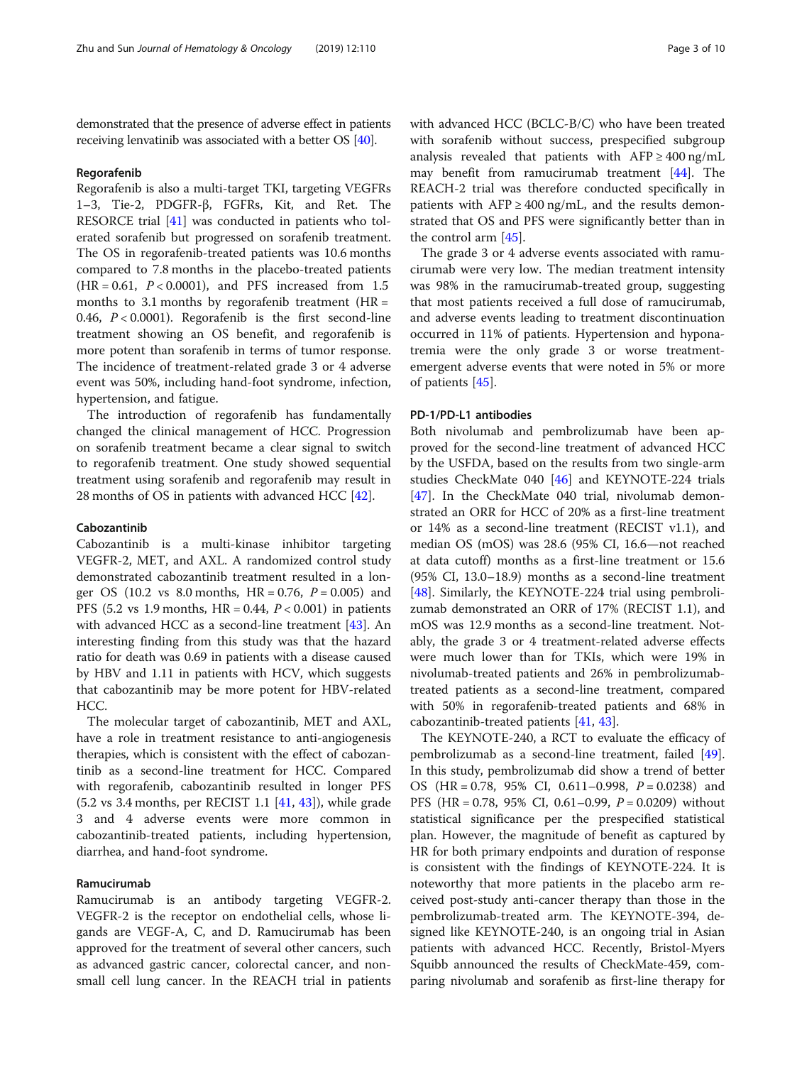demonstrated that the presence of adverse effect in patients receiving lenvatinib was associated with a better OS [\[40](#page-8-0)].

#### Regorafenib

Regorafenib is also a multi-target TKI, targeting VEGFRs 1–3, Tie-2, PDGFR-β, FGFRs, Kit, and Ret. The RESORCE trial [\[41\]](#page-8-0) was conducted in patients who tolerated sorafenib but progressed on sorafenib treatment. The OS in regorafenib-treated patients was 10.6 months compared to 7.8 months in the placebo-treated patients  $(HR = 0.61, P < 0.0001)$ , and PFS increased from 1.5 months to 3.1 months by regorafenib treatment  $(HR =$ 0.46,  $P < 0.0001$ ). Regorafenib is the first second-line treatment showing an OS benefit, and regorafenib is more potent than sorafenib in terms of tumor response. The incidence of treatment-related grade 3 or 4 adverse event was 50%, including hand-foot syndrome, infection, hypertension, and fatigue.

The introduction of regorafenib has fundamentally changed the clinical management of HCC. Progression on sorafenib treatment became a clear signal to switch to regorafenib treatment. One study showed sequential treatment using sorafenib and regorafenib may result in 28 months of OS in patients with advanced HCC [[42](#page-8-0)].

# Cabozantinib

Cabozantinib is a multi-kinase inhibitor targeting VEGFR-2, MET, and AXL. A randomized control study demonstrated cabozantinib treatment resulted in a longer OS (10.2 vs  $8.0$  months, HR = 0.76,  $P = 0.005$ ) and PFS (5.2 vs 1.9 months,  $HR = 0.44, P < 0.001$ ) in patients with advanced HCC as a second-line treatment [[43](#page-8-0)]. An interesting finding from this study was that the hazard ratio for death was 0.69 in patients with a disease caused by HBV and 1.11 in patients with HCV, which suggests that cabozantinib may be more potent for HBV-related HCC.

The molecular target of cabozantinib, MET and AXL, have a role in treatment resistance to anti-angiogenesis therapies, which is consistent with the effect of cabozantinib as a second-line treatment for HCC. Compared with regorafenib, cabozantinib resulted in longer PFS (5.2 vs 3.4 months, per RECIST 1.1 [[41,](#page-8-0) [43\]](#page-8-0)), while grade 3 and 4 adverse events were more common in cabozantinib-treated patients, including hypertension, diarrhea, and hand-foot syndrome.

# Ramucirumab

Ramucirumab is an antibody targeting VEGFR-2. VEGFR-2 is the receptor on endothelial cells, whose ligands are VEGF-A, C, and D. Ramucirumab has been approved for the treatment of several other cancers, such as advanced gastric cancer, colorectal cancer, and nonsmall cell lung cancer. In the REACH trial in patients with advanced HCC (BCLC-B/C) who have been treated with sorafenib without success, prespecified subgroup analysis revealed that patients with  $AFP \ge 400$  ng/mL may benefit from ramucirumab treatment [[44](#page-8-0)]. The REACH-2 trial was therefore conducted specifically in patients with  $AFP \geq 400$  ng/mL, and the results demonstrated that OS and PFS were significantly better than in the control arm [\[45](#page-8-0)].

The grade 3 or 4 adverse events associated with ramucirumab were very low. The median treatment intensity was 98% in the ramucirumab-treated group, suggesting that most patients received a full dose of ramucirumab, and adverse events leading to treatment discontinuation occurred in 11% of patients. Hypertension and hyponatremia were the only grade 3 or worse treatmentemergent adverse events that were noted in 5% or more of patients [[45\]](#page-8-0).

# PD-1/PD-L1 antibodies

Both nivolumab and pembrolizumab have been approved for the second-line treatment of advanced HCC by the USFDA, based on the results from two single-arm studies CheckMate 040 [\[46\]](#page-8-0) and KEYNOTE-224 trials [[47\]](#page-8-0). In the CheckMate 040 trial, nivolumab demonstrated an ORR for HCC of 20% as a first-line treatment or 14% as a second-line treatment (RECIST v1.1), and median OS (mOS) was 28.6 (95% CI, 16.6—not reached at data cutoff) months as a first-line treatment or 15.6 (95% CI, 13.0–18.9) months as a second-line treatment [[48\]](#page-8-0). Similarly, the KEYNOTE-224 trial using pembrolizumab demonstrated an ORR of 17% (RECIST 1.1), and mOS was 12.9 months as a second-line treatment. Notably, the grade 3 or 4 treatment-related adverse effects were much lower than for TKIs, which were 19% in nivolumab-treated patients and 26% in pembrolizumabtreated patients as a second-line treatment, compared with 50% in regorafenib-treated patients and 68% in cabozantinib-treated patients [[41,](#page-8-0) [43\]](#page-8-0).

The KEYNOTE-240, a RCT to evaluate the efficacy of pembrolizumab as a second-line treatment, failed [\[49](#page-8-0)]. In this study, pembrolizumab did show a trend of better OS (HR =  $0.78$ , 95% CI, 0.611-0.998,  $P = 0.0238$ ) and PFS (HR = 0.78, 95% CI, 0.61–0.99, P = 0.0209) without statistical significance per the prespecified statistical plan. However, the magnitude of benefit as captured by HR for both primary endpoints and duration of response is consistent with the findings of KEYNOTE-224. It is noteworthy that more patients in the placebo arm received post-study anti-cancer therapy than those in the pembrolizumab-treated arm. The KEYNOTE-394, designed like KEYNOTE-240, is an ongoing trial in Asian patients with advanced HCC. Recently, Bristol-Myers Squibb announced the results of CheckMate-459, comparing nivolumab and sorafenib as first-line therapy for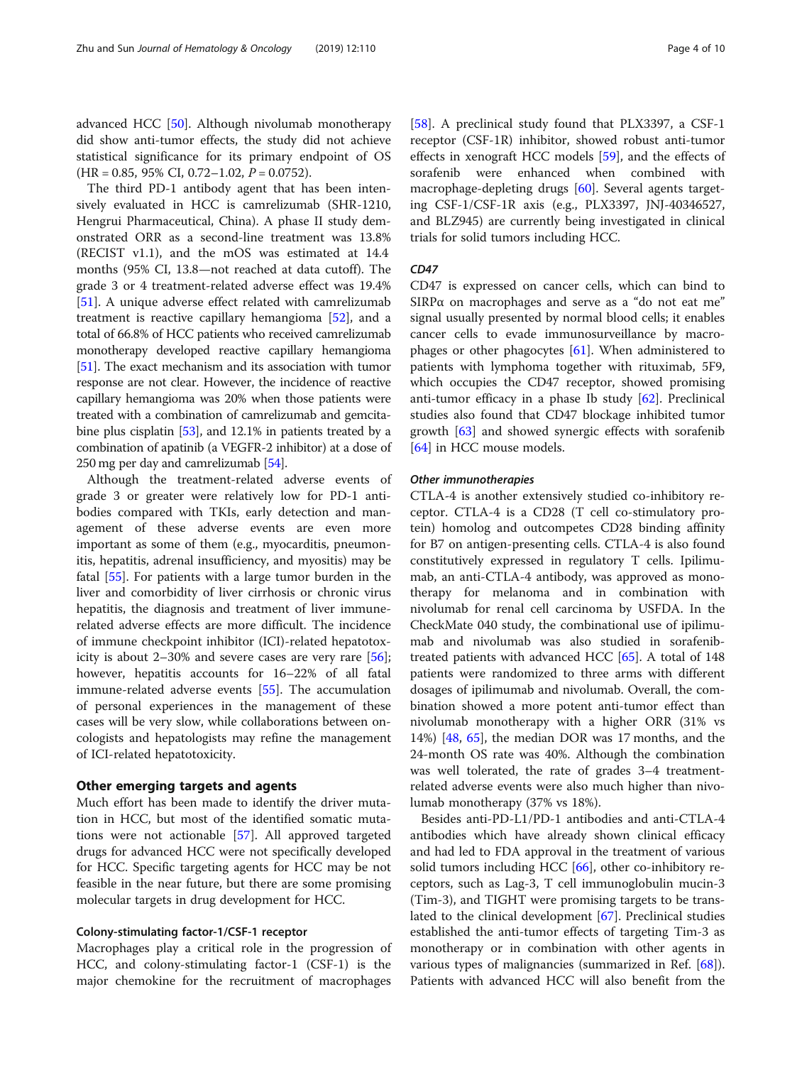advanced HCC [[50\]](#page-8-0). Although nivolumab monotherapy did show anti-tumor effects, the study did not achieve statistical significance for its primary endpoint of OS  $(HR = 0.85, 95\% \text{ CI}, 0.72-1.02, P = 0.0752).$ 

The third PD-1 antibody agent that has been intensively evaluated in HCC is camrelizumab (SHR-1210, Hengrui Pharmaceutical, China). A phase II study demonstrated ORR as a second-line treatment was 13.8% (RECIST v1.1), and the mOS was estimated at 14.4 months (95% CI, 13.8—not reached at data cutoff). The grade 3 or 4 treatment-related adverse effect was 19.4% [[51\]](#page-8-0). A unique adverse effect related with camrelizumab treatment is reactive capillary hemangioma [[52\]](#page-8-0), and a total of 66.8% of HCC patients who received camrelizumab monotherapy developed reactive capillary hemangioma [[51](#page-8-0)]. The exact mechanism and its association with tumor response are not clear. However, the incidence of reactive capillary hemangioma was 20% when those patients were treated with a combination of camrelizumab and gemcita-bine plus cisplatin [[53](#page-8-0)], and 12.1% in patients treated by a combination of apatinib (a VEGFR-2 inhibitor) at a dose of 250 mg per day and camrelizumab [\[54\]](#page-8-0).

Although the treatment-related adverse events of grade 3 or greater were relatively low for PD-1 antibodies compared with TKIs, early detection and management of these adverse events are even more important as some of them (e.g., myocarditis, pneumonitis, hepatitis, adrenal insufficiency, and myositis) may be fatal [[55\]](#page-8-0). For patients with a large tumor burden in the liver and comorbidity of liver cirrhosis or chronic virus hepatitis, the diagnosis and treatment of liver immunerelated adverse effects are more difficult. The incidence of immune checkpoint inhibitor (ICI)-related hepatotoxicity is about 2–30% and severe cases are very rare [\[56](#page-8-0)]; however, hepatitis accounts for 16–22% of all fatal immune-related adverse events [[55\]](#page-8-0). The accumulation of personal experiences in the management of these cases will be very slow, while collaborations between oncologists and hepatologists may refine the management of ICI-related hepatotoxicity.

### Other emerging targets and agents

Much effort has been made to identify the driver mutation in HCC, but most of the identified somatic mutations were not actionable [\[57](#page-8-0)]. All approved targeted drugs for advanced HCC were not specifically developed for HCC. Specific targeting agents for HCC may be not feasible in the near future, but there are some promising molecular targets in drug development for HCC.

# Colony-stimulating factor-1/CSF-1 receptor

Macrophages play a critical role in the progression of HCC, and colony-stimulating factor-1 (CSF-1) is the major chemokine for the recruitment of macrophages [[58\]](#page-8-0). A preclinical study found that PLX3397, a CSF-1 receptor (CSF-1R) inhibitor, showed robust anti-tumor effects in xenograft HCC models [[59\]](#page-8-0), and the effects of sorafenib were enhanced when combined with macrophage-depleting drugs [[60](#page-8-0)]. Several agents targeting CSF-1/CSF-1R axis (e.g., PLX3397, JNJ-40346527, and BLZ945) are currently being investigated in clinical trials for solid tumors including HCC.

# $CD47$

CD47 CD47 is expressed on cancer cells, which can bind to SIRP $\alpha$  on macrophages and serve as a "do not eat me" signal usually presented by normal blood cells; it enables cancer cells to evade immunosurveillance by macrophages or other phagocytes [[61\]](#page-8-0). When administered to patients with lymphoma together with rituximab, 5F9, which occupies the CD47 receptor, showed promising anti-tumor efficacy in a phase Ib study  $[62]$  $[62]$ . Preclinical studies also found that CD47 blockage inhibited tumor growth [[63\]](#page-8-0) and showed synergic effects with sorafenib [[64\]](#page-8-0) in HCC mouse models.

CTLA-4 is another extensively studied co-inhibitory receptor. CTLA-4 is a CD28 (T cell co-stimulatory protein) homolog and outcompetes CD28 binding affinity for B7 on antigen-presenting cells. CTLA-4 is also found constitutively expressed in regulatory T cells. Ipilimumab, an anti-CTLA-4 antibody, was approved as monotherapy for melanoma and in combination with nivolumab for renal cell carcinoma by USFDA. In the CheckMate 040 study, the combinational use of ipilimumab and nivolumab was also studied in sorafenibtreated patients with advanced HCC [[65\]](#page-8-0). A total of 148 patients were randomized to three arms with different dosages of ipilimumab and nivolumab. Overall, the combination showed a more potent anti-tumor effect than nivolumab monotherapy with a higher ORR (31% vs 14%) [\[48](#page-8-0), [65\]](#page-8-0), the median DOR was 17 months, and the 24-month OS rate was 40%. Although the combination was well tolerated, the rate of grades 3–4 treatmentrelated adverse events were also much higher than nivolumab monotherapy (37% vs 18%).

Besides anti-PD-L1/PD-1 antibodies and anti-CTLA-4 antibodies which have already shown clinical efficacy and had led to FDA approval in the treatment of various solid tumors including HCC [[66\]](#page-8-0), other co-inhibitory receptors, such as Lag-3, T cell immunoglobulin mucin-3 (Tim-3), and TIGHT were promising targets to be translated to the clinical development [\[67](#page-8-0)]. Preclinical studies established the anti-tumor effects of targeting Tim-3 as monotherapy or in combination with other agents in various types of malignancies (summarized in Ref. [\[68](#page-8-0)]). Patients with advanced HCC will also benefit from the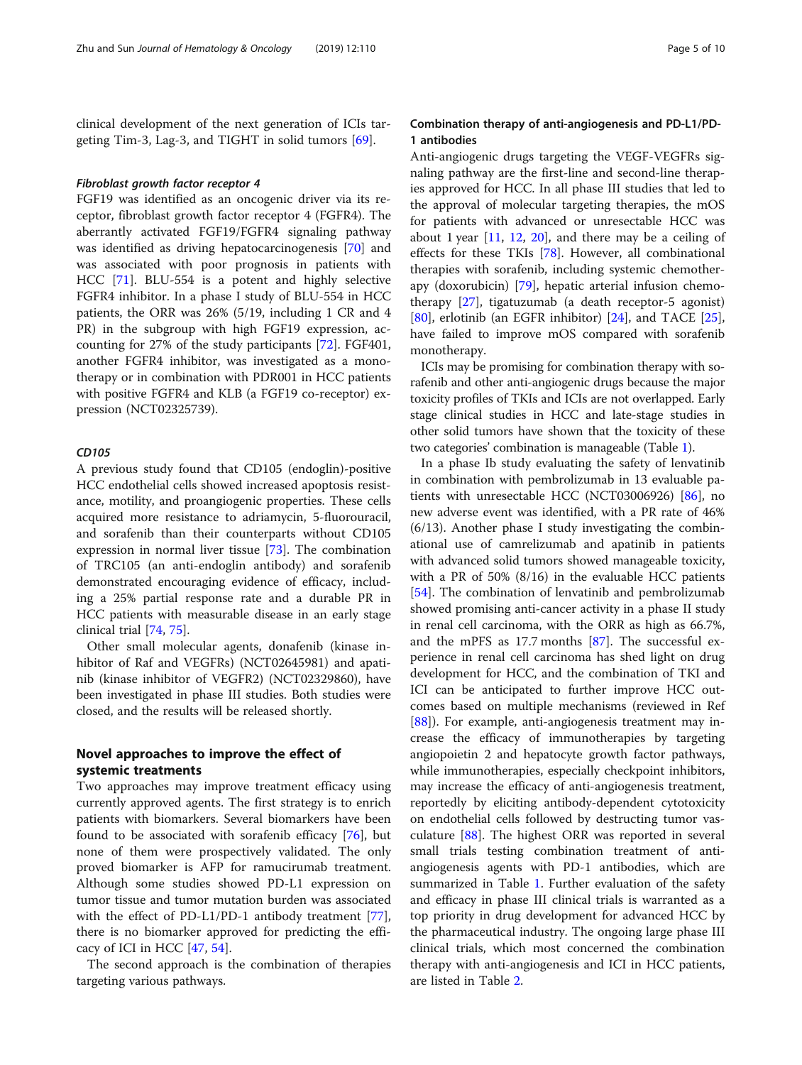clinical development of the next generation of ICIs targeting Tim-3, Lag-3, and TIGHT in solid tumors [\[69\]](#page-8-0).

Fibroblast growth factor receptor 4 FGF19 was identified as an oncogenic driver via its receptor, fibroblast growth factor receptor 4 (FGFR4). The aberrantly activated FGF19/FGFR4 signaling pathway was identified as driving hepatocarcinogenesis [\[70](#page-8-0)] and was associated with poor prognosis in patients with HCC [[71](#page-8-0)]. BLU-554 is a potent and highly selective FGFR4 inhibitor. In a phase I study of BLU-554 in HCC patients, the ORR was 26% (5/19, including 1 CR and 4 PR) in the subgroup with high FGF19 expression, accounting for 27% of the study participants [[72\]](#page-8-0). FGF401, another FGFR4 inhibitor, was investigated as a monotherapy or in combination with PDR001 in HCC patients with positive FGFR4 and KLB (a FGF19 co-receptor) expression (NCT02325739).

### CD<sub>105</sub>

A previous study found that CD105 (endoglin)-positive HCC endothelial cells showed increased apoptosis resistance, motility, and proangiogenic properties. These cells acquired more resistance to adriamycin, 5-fluorouracil, and sorafenib than their counterparts without CD105 expression in normal liver tissue [\[73\]](#page-8-0). The combination of TRC105 (an anti-endoglin antibody) and sorafenib demonstrated encouraging evidence of efficacy, including a 25% partial response rate and a durable PR in HCC patients with measurable disease in an early stage clinical trial [[74,](#page-8-0) [75\]](#page-8-0).

Other small molecular agents, donafenib (kinase inhibitor of Raf and VEGFRs) (NCT02645981) and apatinib (kinase inhibitor of VEGFR2) (NCT02329860), have been investigated in phase III studies. Both studies were closed, and the results will be released shortly.

# Novel approaches to improve the effect of systemic treatments

Two approaches may improve treatment efficacy using currently approved agents. The first strategy is to enrich patients with biomarkers. Several biomarkers have been found to be associated with sorafenib efficacy [[76](#page-9-0)], but none of them were prospectively validated. The only proved biomarker is AFP for ramucirumab treatment. Although some studies showed PD-L1 expression on tumor tissue and tumor mutation burden was associated with the effect of PD-L1/PD-1 antibody treatment [\[77](#page-9-0)], there is no biomarker approved for predicting the efficacy of ICI in HCC [\[47,](#page-8-0) [54\]](#page-8-0).

The second approach is the combination of therapies targeting various pathways.

# Combination therapy of anti-angiogenesis and PD-L1/PD-1 antibodies

Anti-angiogenic drugs targeting the VEGF-VEGFRs signaling pathway are the first-line and second-line therapies approved for HCC. In all phase III studies that led to the approval of molecular targeting therapies, the mOS for patients with advanced or unresectable HCC was about 1 year  $[11, 12, 20]$  $[11, 12, 20]$  $[11, 12, 20]$  $[11, 12, 20]$  $[11, 12, 20]$  $[11, 12, 20]$  $[11, 12, 20]$ , and there may be a ceiling of effects for these TKIs [[78\]](#page-9-0). However, all combinational therapies with sorafenib, including systemic chemotherapy (doxorubicin) [\[79](#page-9-0)], hepatic arterial infusion chemotherapy [\[27](#page-7-0)], tigatuzumab (a death receptor-5 agonist) [[80\]](#page-9-0), erlotinib (an EGFR inhibitor) [[24\]](#page-7-0), and TACE [\[25](#page-7-0)], have failed to improve mOS compared with sorafenib monotherapy.

ICIs may be promising for combination therapy with sorafenib and other anti-angiogenic drugs because the major toxicity profiles of TKIs and ICIs are not overlapped. Early stage clinical studies in HCC and late-stage studies in other solid tumors have shown that the toxicity of these two categories' combination is manageable (Table [1](#page-5-0)).

In a phase Ib study evaluating the safety of lenvatinib in combination with pembrolizumab in 13 evaluable patients with unresectable HCC (NCT03006926) [\[86](#page-9-0)], no new adverse event was identified, with a PR rate of 46% (6/13). Another phase I study investigating the combinational use of camrelizumab and apatinib in patients with advanced solid tumors showed manageable toxicity, with a PR of 50% (8/16) in the evaluable HCC patients [[54\]](#page-8-0). The combination of lenvatinib and pembrolizumab showed promising anti-cancer activity in a phase II study in renal cell carcinoma, with the ORR as high as 66.7%, and the mPFS as 17.7 months [\[87](#page-9-0)]. The successful experience in renal cell carcinoma has shed light on drug development for HCC, and the combination of TKI and ICI can be anticipated to further improve HCC outcomes based on multiple mechanisms (reviewed in Ref [[88\]](#page-9-0)). For example, anti-angiogenesis treatment may increase the efficacy of immunotherapies by targeting angiopoietin 2 and hepatocyte growth factor pathways, while immunotherapies, especially checkpoint inhibitors, may increase the efficacy of anti-angiogenesis treatment, reportedly by eliciting antibody-dependent cytotoxicity on endothelial cells followed by destructing tumor vasculature [\[88\]](#page-9-0). The highest ORR was reported in several small trials testing combination treatment of antiangiogenesis agents with PD-1 antibodies, which are summarized in Table [1.](#page-5-0) Further evaluation of the safety and efficacy in phase III clinical trials is warranted as a top priority in drug development for advanced HCC by the pharmaceutical industry. The ongoing large phase III clinical trials, which most concerned the combination therapy with anti-angiogenesis and ICI in HCC patients, are listed in Table [2.](#page-5-0)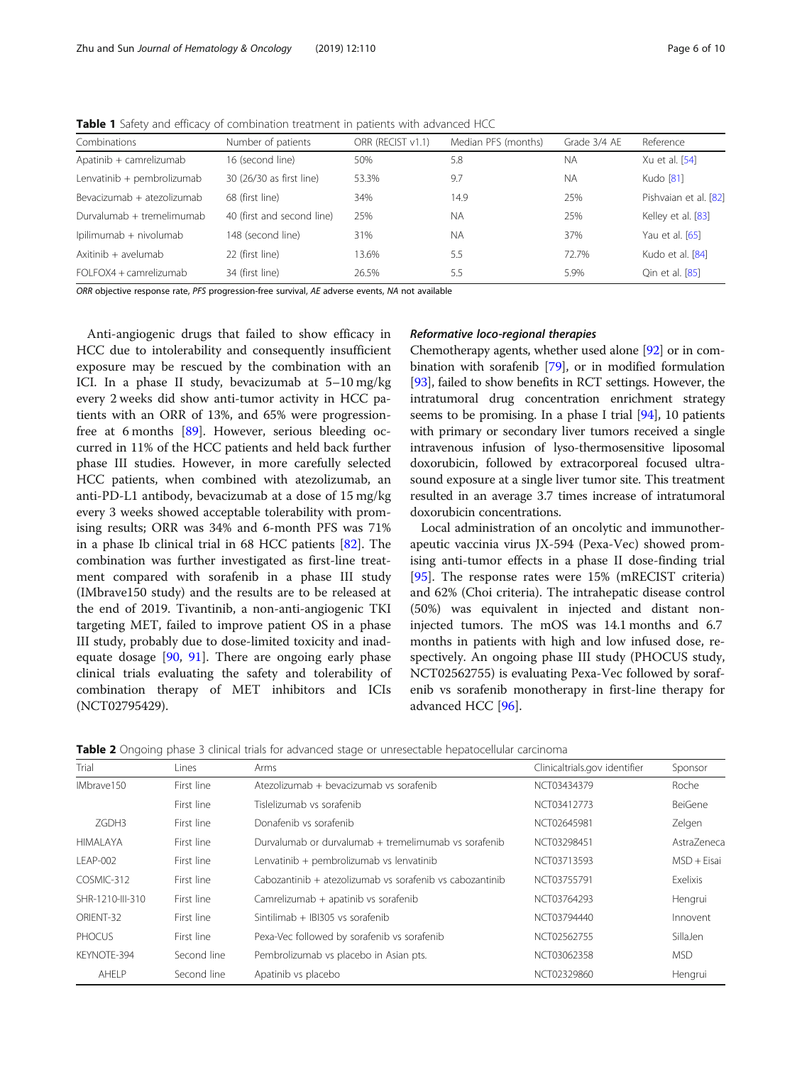<span id="page-5-0"></span>Table 1 Safety and efficacy of combination treatment in patients with advanced HCC

| Combinations               | Number of patients         | ORR (RECIST v1.1) | Median PFS (months) | Grade 3/4 AE | Reference             |
|----------------------------|----------------------------|-------------------|---------------------|--------------|-----------------------|
| Apatinib + camrelizumab    | 16 (second line)           | 50%               | 5.8                 | <b>NA</b>    | Xu et al. [54]        |
| Lenvatinib + pembrolizumab | 30 (26/30 as first line)   | 53.3%             | 9.7                 | <b>NA</b>    | Kudo [81]             |
| Bevacizumab + atezolizumab | 68 (first line)            | 34%               | 14.9                | 25%          | Pishvaian et al. [82] |
| Durvalumab + tremelimumab  | 40 (first and second line) | 25%               | <b>NA</b>           | 25%          | Kelley et al. [83]    |
| lpilimumab + nivolumab     | 148 (second line)          | 31%               | <b>NA</b>           | 37%          | Yau et al. [65]       |
| Axitinib + avelumab        | 22 (first line)            | 13.6%             | 5.5                 | 72.7%        | Kudo et al. [84]      |
| $FO$ $FOX4 + camrelizumab$ | 34 (first line)            | 26.5%             | 5.5                 | 5.9%         | Qin et al. [85]       |

ORR objective response rate, PFS progression-free survival, AE adverse events, NA not available

Anti-angiogenic drugs that failed to show efficacy in HCC due to intolerability and consequently insufficient exposure may be rescued by the combination with an ICI. In a phase II study, bevacizumab at 5–10 mg/kg every 2 weeks did show anti-tumor activity in HCC patients with an ORR of 13%, and 65% were progressionfree at 6 months [[89\]](#page-9-0). However, serious bleeding occurred in 11% of the HCC patients and held back further phase III studies. However, in more carefully selected HCC patients, when combined with atezolizumab, an anti-PD-L1 antibody, bevacizumab at a dose of 15 mg/kg every 3 weeks showed acceptable tolerability with promising results; ORR was 34% and 6-month PFS was 71% in a phase Ib clinical trial in 68 HCC patients [[82](#page-9-0)]. The combination was further investigated as first-line treatment compared with sorafenib in a phase III study (IMbrave150 study) and the results are to be released at the end of 2019. Tivantinib, a non-anti-angiogenic TKI targeting MET, failed to improve patient OS in a phase III study, probably due to dose-limited toxicity and inadequate dosage [[90](#page-9-0), [91\]](#page-9-0). There are ongoing early phase clinical trials evaluating the safety and tolerability of combination therapy of MET inhibitors and ICIs (NCT02795429).

Chemotherapy agents, whether used alone [\[92\]](#page-9-0) or in combination with sorafenib [[79](#page-9-0)], or in modified formulation [[93](#page-9-0)], failed to show benefits in RCT settings. However, the intratumoral drug concentration enrichment strategy seems to be promising. In a phase I trial [\[94\]](#page-9-0), 10 patients with primary or secondary liver tumors received a single intravenous infusion of lyso-thermosensitive liposomal doxorubicin, followed by extracorporeal focused ultrasound exposure at a single liver tumor site. This treatment resulted in an average 3.7 times increase of intratumoral doxorubicin concentrations.

Local administration of an oncolytic and immunotherapeutic vaccinia virus JX-594 (Pexa-Vec) showed promising anti-tumor effects in a phase II dose-finding trial [[95\]](#page-9-0). The response rates were 15% (mRECIST criteria) and 62% (Choi criteria). The intrahepatic disease control (50%) was equivalent in injected and distant noninjected tumors. The mOS was 14.1 months and 6.7 months in patients with high and low infused dose, respectively. An ongoing phase III study (PHOCUS study, NCT02562755) is evaluating Pexa-Vec followed by sorafenib vs sorafenib monotherapy in first-line therapy for advanced HCC [[96](#page-9-0)].

Table 2 Ongoing phase 3 clinical trials for advanced stage or unresectable hepatocellular carcinoma

| Trial            | Lines       | Arms                                                     | Clinicaltrials.gov identifier | Sponsor       |
|------------------|-------------|----------------------------------------------------------|-------------------------------|---------------|
| IMbrave150       | First line  | Atezolizumab + bevacizumab vs sorafenib                  | NCT03434379                   | Roche         |
|                  | First line  | Tislelizumab vs sorafenib                                | NCT03412773                   | BeiGene       |
| 7GDH3            | First line  | Donafenib vs sorafenib<br>NCT02645981                    |                               | Zelgen        |
| HIMAI AYA        | First line  | Durvalumab or durvalumab + tremelimumab vs sorafenib     | NCT03298451                   | Astra7eneca   |
| LEAP-002         | First line  | Lenvatinib + pembrolizumab vs lenvatinib                 | NCT03713593                   | $MSD + Fisai$ |
| COSMIC-312       | First line  | Cabozantinib + atezolizumab vs sorafenib vs cabozantinib | NCT03755791                   | Exelixis      |
| SHR-1210-III-310 | First line  | Camrelizumab + apatinib vs sorafenib                     | NCT03764293                   | Hengrui       |
| ORIENT-32        | First line  | Sintilimab + IBI305 vs sorafenib                         | NCT03794440                   | Innovent      |
| <b>PHOCUS</b>    | First line  | Pexa-Vec followed by sorafenib vs sorafenib              | NCT02562755                   | SillaJen      |
| KFYNOTF-394      | Second line | Pembrolizumab vs placebo in Asian pts.                   | NCT03062358                   | <b>MSD</b>    |
| AHELP            | Second line | Apatinib vs placebo                                      | NCT02329860                   | Hengrui       |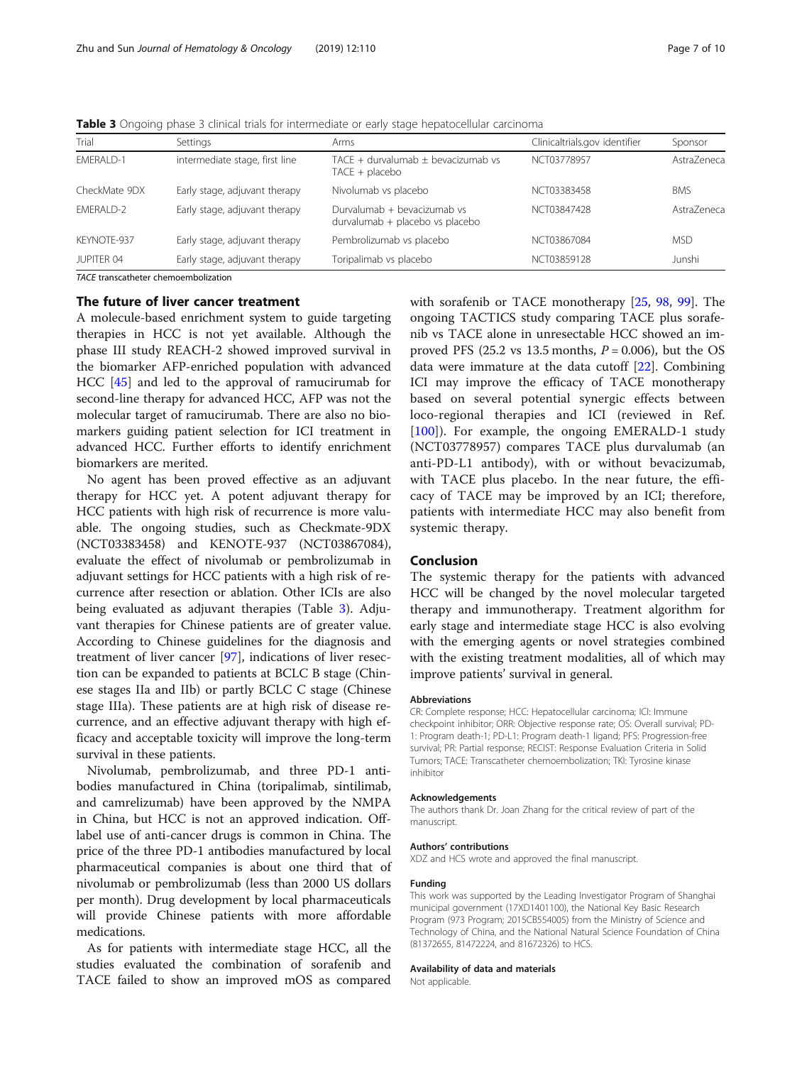| Trial<br>Settings |                                | Arms                                                           | Clinicaltrials.gov identifier | Sponsor     |
|-------------------|--------------------------------|----------------------------------------------------------------|-------------------------------|-------------|
| <b>FMFRAI D-1</b> | intermediate stage, first line | TACE $+$ durvalumab $\pm$ bevacizumab vs<br>$TACE + placebo$   | NCT03778957                   | Astra7eneca |
| CheckMate 9DX     | Early stage, adjuvant therapy  | Nivolumab vs placebo                                           | NCT03383458                   | <b>BMS</b>  |
| <b>FMFRAI D-2</b> | Early stage, adjuvant therapy  | Durvalumab + bevacizumab vs<br>durvalumab + placebo vs placebo | NCT03847428                   | Astra7eneca |
| KEYNOTE-937       | Early stage, adjuvant therapy  | Pembrolizumab vs placebo                                       | NCT03867084                   | <b>MSD</b>  |
| JUPITER 04        | Early stage, adjuvant therapy  | Toripalimab vs placebo                                         | NCT03859128                   | Junshi      |

Table 3 Ongoing phase 3 clinical trials for intermediate or early stage hepatocellular carcinoma

TACE transcatheter chemoembolization

# The future of liver cancer treatment

A molecule-based enrichment system to guide targeting therapies in HCC is not yet available. Although the phase III study REACH-2 showed improved survival in the biomarker AFP-enriched population with advanced HCC [[45\]](#page-8-0) and led to the approval of ramucirumab for second-line therapy for advanced HCC, AFP was not the molecular target of ramucirumab. There are also no biomarkers guiding patient selection for ICI treatment in advanced HCC. Further efforts to identify enrichment biomarkers are merited.

No agent has been proved effective as an adjuvant therapy for HCC yet. A potent adjuvant therapy for HCC patients with high risk of recurrence is more valuable. The ongoing studies, such as Checkmate-9DX (NCT03383458) and KENOTE-937 (NCT03867084), evaluate the effect of nivolumab or pembrolizumab in adjuvant settings for HCC patients with a high risk of recurrence after resection or ablation. Other ICIs are also being evaluated as adjuvant therapies (Table 3). Adjuvant therapies for Chinese patients are of greater value. According to Chinese guidelines for the diagnosis and treatment of liver cancer [[97](#page-9-0)], indications of liver resection can be expanded to patients at BCLC B stage (Chinese stages IIa and IIb) or partly BCLC C stage (Chinese stage IIIa). These patients are at high risk of disease recurrence, and an effective adjuvant therapy with high efficacy and acceptable toxicity will improve the long-term survival in these patients.

Nivolumab, pembrolizumab, and three PD-1 antibodies manufactured in China (toripalimab, sintilimab, and camrelizumab) have been approved by the NMPA in China, but HCC is not an approved indication. Offlabel use of anti-cancer drugs is common in China. The price of the three PD-1 antibodies manufactured by local pharmaceutical companies is about one third that of nivolumab or pembrolizumab (less than 2000 US dollars per month). Drug development by local pharmaceuticals will provide Chinese patients with more affordable medications.

As for patients with intermediate stage HCC, all the studies evaluated the combination of sorafenib and TACE failed to show an improved mOS as compared with sorafenib or TACE monotherapy [[25](#page-7-0), [98](#page-9-0), [99](#page-9-0)]. The ongoing TACTICS study comparing TACE plus sorafenib vs TACE alone in unresectable HCC showed an improved PFS (25.2 vs 13.5 months,  $P = 0.006$ ), but the OS data were immature at the data cutoff [[22\]](#page-7-0). Combining ICI may improve the efficacy of TACE monotherapy based on several potential synergic effects between loco-regional therapies and ICI (reviewed in Ref. [[100\]](#page-9-0)). For example, the ongoing EMERALD-1 study (NCT03778957) compares TACE plus durvalumab (an anti-PD-L1 antibody), with or without bevacizumab, with TACE plus placebo. In the near future, the efficacy of TACE may be improved by an ICI; therefore, patients with intermediate HCC may also benefit from systemic therapy.

# Conclusion

The systemic therapy for the patients with advanced HCC will be changed by the novel molecular targeted therapy and immunotherapy. Treatment algorithm for early stage and intermediate stage HCC is also evolving with the emerging agents or novel strategies combined with the existing treatment modalities, all of which may improve patients' survival in general.

#### Abbreviations

CR: Complete response; HCC: Hepatocellular carcinoma; ICI: Immune checkpoint inhibitor; ORR: Objective response rate; OS: Overall survival; PD-1: Program death-1; PD-L1: Program death-1 ligand; PFS: Progression-free survival; PR: Partial response; RECIST: Response Evaluation Criteria in Solid Tumors; TACE: Transcatheter chemoembolization; TKI: Tyrosine kinase inhibitor

### Acknowledgements

The authors thank Dr. Joan Zhang for the critical review of part of the manuscript.

#### Authors' contributions

XDZ and HCS wrote and approved the final manuscript.

### Funding

This work was supported by the Leading Investigator Program of Shanghai municipal government (17XD1401100), the National Key Basic Research Program (973 Program; 2015CB554005) from the Ministry of Science and Technology of China, and the National Natural Science Foundation of China (81372655, 81472224, and 81672326) to HCS.

# Availability of data and materials

Not applicable.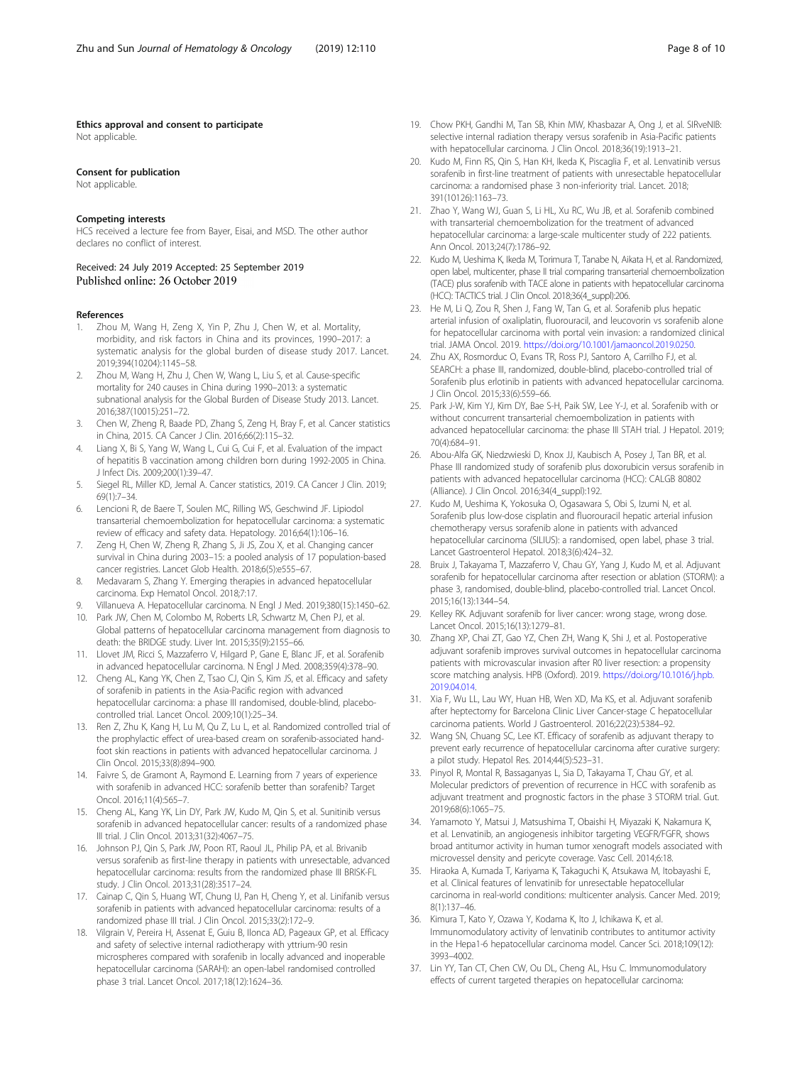# <span id="page-7-0"></span>Ethics approval and consent to participate

Not applicable.

#### Consent for publication

Not applicable.

# Competing interests

HCS received a lecture fee from Bayer, Eisai, and MSD. The other author declares no conflict of interest.

# Received: 24 July 2019 Accepted: 25 September 2019 Published online: 26 October 2019

#### References

- 1. Zhou M, Wang H, Zeng X, Yin P, Zhu J, Chen W, et al. Mortality, morbidity, and risk factors in China and its provinces, 1990–2017: a systematic analysis for the global burden of disease study 2017. Lancet. 2019;394(10204):1145–58.
- 2. Zhou M, Wang H, Zhu J, Chen W, Wang L, Liu S, et al. Cause-specific mortality for 240 causes in China during 1990–2013: a systematic subnational analysis for the Global Burden of Disease Study 2013. Lancet. 2016;387(10015):251–72.
- 3. Chen W, Zheng R, Baade PD, Zhang S, Zeng H, Bray F, et al. Cancer statistics in China, 2015. CA Cancer J Clin. 2016;66(2):115–32.
- 4. Liang X, Bi S, Yang W, Wang L, Cui G, Cui F, et al. Evaluation of the impact of hepatitis B vaccination among children born during 1992-2005 in China. J Infect Dis. 2009;200(1):39–47.
- 5. Siegel RL, Miller KD, Jemal A. Cancer statistics, 2019. CA Cancer J Clin. 2019; 69(1):7–34.
- 6. Lencioni R, de Baere T, Soulen MC, Rilling WS, Geschwind JF. Lipiodol transarterial chemoembolization for hepatocellular carcinoma: a systematic review of efficacy and safety data. Hepatology. 2016;64(1):106–16.
- 7. Zeng H, Chen W, Zheng R, Zhang S, Ji JS, Zou X, et al. Changing cancer survival in China during 2003–15: a pooled analysis of 17 population-based cancer registries. Lancet Glob Health. 2018;6(5):e555–67.
- 8. Medavaram S, Zhang Y. Emerging therapies in advanced hepatocellular carcinoma. Exp Hematol Oncol. 2018;7:17.
- 9. Villanueva A. Hepatocellular carcinoma. N Engl J Med. 2019;380(15):1450–62.
- 10. Park JW, Chen M, Colombo M, Roberts LR, Schwartz M, Chen PJ, et al. Global patterns of hepatocellular carcinoma management from diagnosis to death: the BRIDGE study. Liver Int. 2015;35(9):2155–66.
- 11. Llovet JM, Ricci S, Mazzaferro V, Hilgard P, Gane E, Blanc JF, et al. Sorafenib in advanced hepatocellular carcinoma. N Engl J Med. 2008;359(4):378–90.
- 12. Cheng AL, Kang YK, Chen Z, Tsao CJ, Qin S, Kim JS, et al. Efficacy and safety of sorafenib in patients in the Asia-Pacific region with advanced hepatocellular carcinoma: a phase III randomised, double-blind, placebocontrolled trial. Lancet Oncol. 2009;10(1):25–34.
- 13. Ren Z, Zhu K, Kang H, Lu M, Qu Z, Lu L, et al. Randomized controlled trial of the prophylactic effect of urea-based cream on sorafenib-associated handfoot skin reactions in patients with advanced hepatocellular carcinoma. J Clin Oncol. 2015;33(8):894–900.
- 14. Faivre S, de Gramont A, Raymond E. Learning from 7 years of experience with sorafenib in advanced HCC: sorafenib better than sorafenib? Target Oncol. 2016;11(4):565–7.
- 15. Cheng AL, Kang YK, Lin DY, Park JW, Kudo M, Qin S, et al. Sunitinib versus sorafenib in advanced hepatocellular cancer: results of a randomized phase III trial. J Clin Oncol. 2013;31(32):4067–75.
- 16. Johnson PJ, Qin S, Park JW, Poon RT, Raoul JL, Philip PA, et al. Brivanib versus sorafenib as first-line therapy in patients with unresectable, advanced hepatocellular carcinoma: results from the randomized phase III BRISK-FL study. J Clin Oncol. 2013;31(28):3517–24.
- 17. Cainap C, Qin S, Huang WT, Chung IJ, Pan H, Cheng Y, et al. Linifanib versus sorafenib in patients with advanced hepatocellular carcinoma: results of a randomized phase III trial. J Clin Oncol. 2015;33(2):172–9.
- 18. Vilgrain V, Pereira H, Assenat E, Guiu B, Ilonca AD, Pageaux GP, et al. Efficacy and safety of selective internal radiotherapy with yttrium-90 resin microspheres compared with sorafenib in locally advanced and inoperable hepatocellular carcinoma (SARAH): an open-label randomised controlled phase 3 trial. Lancet Oncol. 2017;18(12):1624–36.
- 19. Chow PKH, Gandhi M, Tan SB, Khin MW, Khasbazar A, Ong J, et al. SIRveNIB: selective internal radiation therapy versus sorafenib in Asia-Pacific patients with hepatocellular carcinoma. J Clin Oncol. 2018;36(19):1913–21.
- 20. Kudo M, Finn RS, Qin S, Han KH, Ikeda K, Piscaglia F, et al. Lenvatinib versus sorafenib in first-line treatment of patients with unresectable hepatocellular carcinoma: a randomised phase 3 non-inferiority trial. Lancet. 2018; 391(10126):1163–73.
- 21. Zhao Y, Wang WJ, Guan S, Li HL, Xu RC, Wu JB, et al. Sorafenib combined with transarterial chemoembolization for the treatment of advanced hepatocellular carcinoma: a large-scale multicenter study of 222 patients. Ann Oncol. 2013;24(7):1786–92.
- 22. Kudo M, Ueshima K, Ikeda M, Torimura T, Tanabe N, Aikata H, et al. Randomized, open label, multicenter, phase II trial comparing transarterial chemoembolization (TACE) plus sorafenib with TACE alone in patients with hepatocellular carcinoma (HCC): TACTICS trial. J Clin Oncol. 2018;36(4\_suppl):206.
- 23. He M, Li Q, Zou R, Shen J, Fang W, Tan G, et al. Sorafenib plus hepatic arterial infusion of oxaliplatin, fluorouracil, and leucovorin vs sorafenib alone for hepatocellular carcinoma with portal vein invasion: a randomized clinical trial. JAMA Oncol. 2019. [https://doi.org/10.1001/jamaoncol.2019.0250.](https://doi.org/10.1001/jamaoncol.2019.0250)
- 24. Zhu AX, Rosmorduc O, Evans TR, Ross PJ, Santoro A, Carrilho FJ, et al. SEARCH: a phase III, randomized, double-blind, placebo-controlled trial of Sorafenib plus erlotinib in patients with advanced hepatocellular carcinoma. J Clin Oncol. 2015;33(6):559–66.
- 25. Park J-W, Kim YJ, Kim DY, Bae S-H, Paik SW, Lee Y-J, et al. Sorafenib with or without concurrent transarterial chemoembolization in patients with advanced hepatocellular carcinoma: the phase III STAH trial. J Hepatol. 2019; 70(4):684–91.
- 26. Abou-Alfa GK, Niedzwieski D, Knox JJ, Kaubisch A, Posey J, Tan BR, et al. Phase III randomized study of sorafenib plus doxorubicin versus sorafenib in patients with advanced hepatocellular carcinoma (HCC): CALGB 80802 (Alliance). J Clin Oncol. 2016;34(4\_suppl):192.
- 27. Kudo M, Ueshima K, Yokosuka O, Ogasawara S, Obi S, Izumi N, et al. Sorafenib plus low-dose cisplatin and fluorouracil hepatic arterial infusion chemotherapy versus sorafenib alone in patients with advanced hepatocellular carcinoma (SILIUS): a randomised, open label, phase 3 trial. Lancet Gastroenterol Hepatol. 2018;3(6):424–32.
- 28. Bruix J, Takayama T, Mazzaferro V, Chau GY, Yang J, Kudo M, et al. Adjuvant sorafenib for hepatocellular carcinoma after resection or ablation (STORM): a phase 3, randomised, double-blind, placebo-controlled trial. Lancet Oncol. 2015;16(13):1344–54.
- 29. Kelley RK. Adjuvant sorafenib for liver cancer: wrong stage, wrong dose. Lancet Oncol. 2015;16(13):1279–81.
- 30. Zhang XP, Chai ZT, Gao YZ, Chen ZH, Wang K, Shi J, et al. Postoperative adjuvant sorafenib improves survival outcomes in hepatocellular carcinoma patients with microvascular invasion after R0 liver resection: a propensity score matching analysis. HPB (Oxford). 2019. [https://doi.org/10.1016/j.hpb.](https://doi.org/10.1016/j.hpb.2019.04.014) [2019.04.014.](https://doi.org/10.1016/j.hpb.2019.04.014)
- 31. Xia F, Wu LL, Lau WY, Huan HB, Wen XD, Ma KS, et al. Adjuvant sorafenib after heptectomy for Barcelona Clinic Liver Cancer-stage C hepatocellular carcinoma patients. World J Gastroenterol. 2016;22(23):5384–92.
- 32. Wang SN, Chuang SC, Lee KT. Efficacy of sorafenib as adjuvant therapy to prevent early recurrence of hepatocellular carcinoma after curative surgery: a pilot study. Hepatol Res. 2014;44(5):523–31.
- 33. Pinyol R, Montal R, Bassaganyas L, Sia D, Takayama T, Chau GY, et al. Molecular predictors of prevention of recurrence in HCC with sorafenib as adjuvant treatment and prognostic factors in the phase 3 STORM trial. Gut. 2019;68(6):1065–75.
- 34. Yamamoto Y, Matsui J, Matsushima T, Obaishi H, Miyazaki K, Nakamura K, et al. Lenvatinib, an angiogenesis inhibitor targeting VEGFR/FGFR, shows broad antitumor activity in human tumor xenograft models associated with microvessel density and pericyte coverage. Vasc Cell. 2014;6:18.
- 35. Hiraoka A, Kumada T, Kariyama K, Takaguchi K, Atsukawa M, Itobayashi E, et al. Clinical features of lenvatinib for unresectable hepatocellular carcinoma in real-world conditions: multicenter analysis. Cancer Med. 2019; 8(1):137–46.
- 36. Kimura T, Kato Y, Ozawa Y, Kodama K, Ito J, Ichikawa K, et al. Immunomodulatory activity of lenvatinib contributes to antitumor activity in the Hepa1-6 hepatocellular carcinoma model. Cancer Sci. 2018;109(12): 3993–4002.
- 37. Lin YY, Tan CT, Chen CW, Ou DL, Cheng AL, Hsu C. Immunomodulatory effects of current targeted therapies on hepatocellular carcinoma: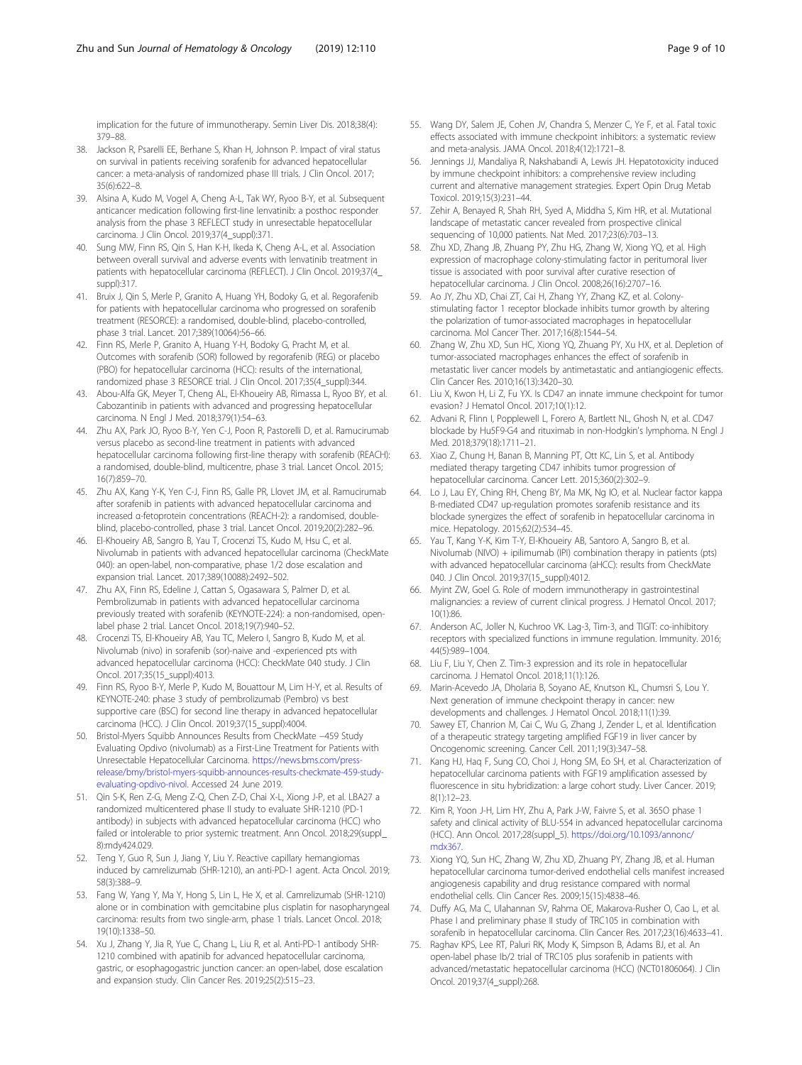<span id="page-8-0"></span>implication for the future of immunotherapy. Semin Liver Dis. 2018;38(4): 379–88.

- 38. Jackson R, Psarelli EE, Berhane S, Khan H, Johnson P. Impact of viral status on survival in patients receiving sorafenib for advanced hepatocellular cancer: a meta-analysis of randomized phase III trials. J Clin Oncol. 2017; 35(6):622–8.
- 39. Alsina A, Kudo M, Vogel A, Cheng A-L, Tak WY, Ryoo B-Y, et al. Subsequent anticancer medication following first-line lenvatinib: a posthoc responder analysis from the phase 3 REFLECT study in unresectable hepatocellular carcinoma. J Clin Oncol. 2019;37(4\_suppl):371.
- 40. Sung MW, Finn RS, Qin S, Han K-H, Ikeda K, Cheng A-L, et al. Association between overall survival and adverse events with lenvatinib treatment in patients with hepatocellular carcinoma (REFLECT). J Clin Oncol. 2019;37(4\_ suppl):317.
- 41. Bruix J, Qin S, Merle P, Granito A, Huang YH, Bodoky G, et al. Regorafenib for patients with hepatocellular carcinoma who progressed on sorafenib treatment (RESORCE): a randomised, double-blind, placebo-controlled, phase 3 trial. Lancet. 2017;389(10064):56–66.
- 42. Finn RS, Merle P, Granito A, Huang Y-H, Bodoky G, Pracht M, et al. Outcomes with sorafenib (SOR) followed by regorafenib (REG) or placebo (PBO) for hepatocellular carcinoma (HCC): results of the international, randomized phase 3 RESORCE trial. J Clin Oncol. 2017;35(4\_suppl):344.
- 43. Abou-Alfa GK, Meyer T, Cheng AL, El-Khoueiry AB, Rimassa L, Ryoo BY, et al. Cabozantinib in patients with advanced and progressing hepatocellular carcinoma. N Engl J Med. 2018;379(1):54–63.
- 44. Zhu AX, Park JO, Ryoo B-Y, Yen C-J, Poon R, Pastorelli D, et al. Ramucirumab versus placebo as second-line treatment in patients with advanced hepatocellular carcinoma following first-line therapy with sorafenib (REACH): a randomised, double-blind, multicentre, phase 3 trial. Lancet Oncol. 2015; 16(7):859–70.
- 45. Zhu AX, Kang Y-K, Yen C-J, Finn RS, Galle PR, Llovet JM, et al. Ramucirumab after sorafenib in patients with advanced hepatocellular carcinoma and increased α-fetoprotein concentrations (REACH-2): a randomised, doubleblind, placebo-controlled, phase 3 trial. Lancet Oncol. 2019;20(2):282–96.
- 46. El-Khoueiry AB, Sangro B, Yau T, Crocenzi TS, Kudo M, Hsu C, et al. Nivolumab in patients with advanced hepatocellular carcinoma (CheckMate 040): an open-label, non-comparative, phase 1/2 dose escalation and expansion trial. Lancet. 2017;389(10088):2492–502.
- 47. Zhu AX, Finn RS, Edeline J, Cattan S, Ogasawara S, Palmer D, et al. Pembrolizumab in patients with advanced hepatocellular carcinoma previously treated with sorafenib (KEYNOTE-224): a non-randomised, openlabel phase 2 trial. Lancet Oncol. 2018;19(7):940–52.
- 48. Crocenzi TS, El-Khoueiry AB, Yau TC, Melero I, Sangro B, Kudo M, et al. Nivolumab (nivo) in sorafenib (sor)-naive and -experienced pts with advanced hepatocellular carcinoma (HCC): CheckMate 040 study. J Clin Oncol. 2017;35(15\_suppl):4013.
- 49. Finn RS, Ryoo B-Y, Merle P, Kudo M, Bouattour M, Lim H-Y, et al. Results of KEYNOTE-240: phase 3 study of pembrolizumab (Pembro) vs best supportive care (BSC) for second line therapy in advanced hepatocellular carcinoma (HCC). J Clin Oncol. 2019;37(15\_suppl):4004.
- 50. Bristol-Myers Squibb Announces Results from CheckMate −459 Study Evaluating Opdivo (nivolumab) as a First-Line Treatment for Patients with Unresectable Hepatocellular Carcinoma. [https://news.bms.com/press](https://news.bms.com/press-release/bmy/bristol-myers-squibb-announces-results-checkmate-459-study-evaluating-opdivo-nivol)[release/bmy/bristol-myers-squibb-announces-results-checkmate-459-study](https://news.bms.com/press-release/bmy/bristol-myers-squibb-announces-results-checkmate-459-study-evaluating-opdivo-nivol)[evaluating-opdivo-nivol.](https://news.bms.com/press-release/bmy/bristol-myers-squibb-announces-results-checkmate-459-study-evaluating-opdivo-nivol) Accessed 24 June 2019.
- 51. Qin S-K, Ren Z-G, Meng Z-Q, Chen Z-D, Chai X-L, Xiong J-P, et al. LBA27 a randomized multicentered phase II study to evaluate SHR-1210 (PD-1 antibody) in subjects with advanced hepatocellular carcinoma (HCC) who failed or intolerable to prior systemic treatment. Ann Oncol. 2018;29(suppl\_ 8):mdy424.029.
- 52. Teng Y, Guo R, Sun J, Jiang Y, Liu Y. Reactive capillary hemangiomas induced by camrelizumab (SHR-1210), an anti-PD-1 agent. Acta Oncol. 2019; 58(3):388–9.
- 53. Fang W, Yang Y, Ma Y, Hong S, Lin L, He X, et al. Camrelizumab (SHR-1210) alone or in combination with gemcitabine plus cisplatin for nasopharyngeal carcinoma: results from two single-arm, phase 1 trials. Lancet Oncol. 2018; 19(10):1338–50.
- 54. Xu J, Zhang Y, Jia R, Yue C, Chang L, Liu R, et al. Anti-PD-1 antibody SHR-1210 combined with apatinib for advanced hepatocellular carcinoma, gastric, or esophagogastric junction cancer: an open-label, dose escalation and expansion study. Clin Cancer Res. 2019;25(2):515–23.
- 55. Wang DY, Salem JE, Cohen JV, Chandra S, Menzer C, Ye F, et al. Fatal toxic effects associated with immune checkpoint inhibitors: a systematic review and meta-analysis. JAMA Oncol. 2018;4(12):1721–8.
- 56. Jennings JJ, Mandaliya R, Nakshabandi A, Lewis JH. Hepatotoxicity induced by immune checkpoint inhibitors: a comprehensive review including current and alternative management strategies. Expert Opin Drug Metab Toxicol. 2019;15(3):231–44.
- 57. Zehir A, Benayed R, Shah RH, Syed A, Middha S, Kim HR, et al. Mutational landscape of metastatic cancer revealed from prospective clinical sequencing of 10,000 patients. Nat Med. 2017;23(6):703–13.
- 58. Zhu XD, Zhang JB, Zhuang PY, Zhu HG, Zhang W, Xiong YQ, et al. High expression of macrophage colony-stimulating factor in peritumoral liver tissue is associated with poor survival after curative resection of hepatocellular carcinoma. J Clin Oncol. 2008;26(16):2707–16.
- 59. Ao JY, Zhu XD, Chai ZT, Cai H, Zhang YY, Zhang KZ, et al. Colonystimulating factor 1 receptor blockade inhibits tumor growth by altering the polarization of tumor-associated macrophages in hepatocellular carcinoma. Mol Cancer Ther. 2017;16(8):1544–54.
- 60. Zhang W, Zhu XD, Sun HC, Xiong YQ, Zhuang PY, Xu HX, et al. Depletion of tumor-associated macrophages enhances the effect of sorafenib in metastatic liver cancer models by antimetastatic and antiangiogenic effects. Clin Cancer Res. 2010;16(13):3420–30.
- 61. Liu X, Kwon H, Li Z, Fu YX. Is CD47 an innate immune checkpoint for tumor evasion? J Hematol Oncol. 2017;10(1):12.
- 62. Advani R, Flinn I, Popplewell L, Forero A, Bartlett NL, Ghosh N, et al. CD47 blockade by Hu5F9-G4 and rituximab in non-Hodgkin's lymphoma. N Engl J Med. 2018;379(18):1711–21.
- 63. Xiao Z, Chung H, Banan B, Manning PT, Ott KC, Lin S, et al. Antibody mediated therapy targeting CD47 inhibits tumor progression of hepatocellular carcinoma. Cancer Lett. 2015;360(2):302–9.
- 64. Lo J, Lau EY, Ching RH, Cheng BY, Ma MK, Ng IO, et al. Nuclear factor kappa B-mediated CD47 up-regulation promotes sorafenib resistance and its blockade synergizes the effect of sorafenib in hepatocellular carcinoma in mice. Hepatology. 2015;62(2):534–45.
- 65. Yau T, Kang Y-K, Kim T-Y, El-Khoueiry AB, Santoro A, Sangro B, et al. Nivolumab (NIVO) + ipilimumab (IPI) combination therapy in patients (pts) with advanced hepatocellular carcinoma (aHCC): results from CheckMate 040. J Clin Oncol. 2019;37(15\_suppl):4012.
- 66. Myint ZW, Goel G. Role of modern immunotherapy in gastrointestinal malignancies: a review of current clinical progress. J Hematol Oncol. 2017; 10(1):86.
- 67. Anderson AC, Joller N, Kuchroo VK. Lag-3, Tim-3, and TIGIT: co-inhibitory receptors with specialized functions in immune regulation. Immunity. 2016; 44(5):989–1004.
- 68. Liu F, Liu Y, Chen Z. Tim-3 expression and its role in hepatocellular carcinoma. J Hematol Oncol. 2018;11(1):126.
- 69. Marin-Acevedo JA, Dholaria B, Soyano AE, Knutson KL, Chumsri S, Lou Y. Next generation of immune checkpoint therapy in cancer: new developments and challenges. J Hematol Oncol. 2018;11(1):39.
- 70. Sawey ET, Chanrion M, Cai C, Wu G, Zhang J, Zender L, et al. Identification of a therapeutic strategy targeting amplified FGF19 in liver cancer by Oncogenomic screening. Cancer Cell. 2011;19(3):347–58.
- 71. Kang HJ, Haq F, Sung CO, Choi J, Hong SM, Eo SH, et al. Characterization of hepatocellular carcinoma patients with FGF19 amplification assessed by fluorescence in situ hybridization: a large cohort study. Liver Cancer. 2019; 8(1):12–23.
- 72. Kim R, Yoon J-H, Lim HY, Zhu A, Park J-W, Faivre S, et al. 365O phase 1 safety and clinical activity of BLU-554 in advanced hepatocellular carcinoma (HCC). Ann Oncol. 2017;28(suppl\_5). [https://doi.org/10.1093/annonc/](https://doi.org/10.1093/annonc/mdx367) [mdx367.](https://doi.org/10.1093/annonc/mdx367)
- 73. Xiong YQ, Sun HC, Zhang W, Zhu XD, Zhuang PY, Zhang JB, et al. Human hepatocellular carcinoma tumor-derived endothelial cells manifest increased angiogenesis capability and drug resistance compared with normal endothelial cells. Clin Cancer Res. 2009;15(15):4838–46.
- 74. Duffy AG, Ma C, Ulahannan SV, Rahma OE, Makarova-Rusher O, Cao L, et al. Phase I and preliminary phase II study of TRC105 in combination with sorafenib in hepatocellular carcinoma. Clin Cancer Res. 2017;23(16):4633–41.
- 75. Raghav KPS, Lee RT, Paluri RK, Mody K, Simpson B, Adams BJ, et al. An open-label phase Ib/2 trial of TRC105 plus sorafenib in patients with advanced/metastatic hepatocellular carcinoma (HCC) (NCT01806064). J Clin Oncol. 2019;37(4\_suppl):268.